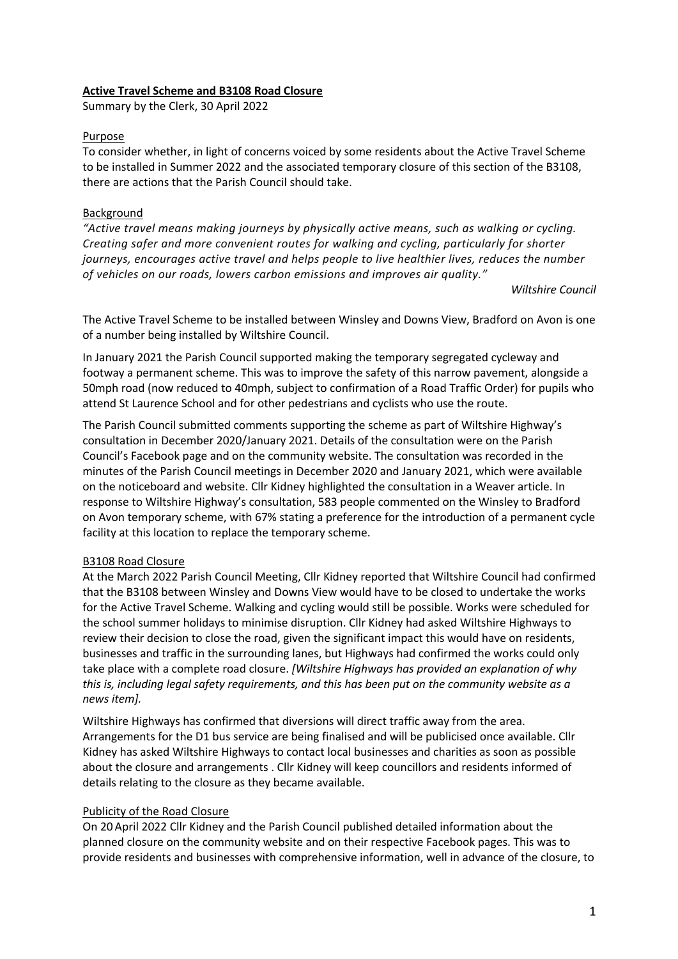#### **Active Travel Scheme and B3108 Road Closure**

Summary by the Clerk, 30 April 2022

#### Purpose

To consider whether, in light of concerns voiced by some residents about the Active Travel Scheme to be installed in Summer 2022 and the associated temporary closure of this section of the B3108, there are actions that the Parish Council should take.

# Background

*"Active travel means making journeys by physically active means, such as walking or cycling. Creating safer and more convenient routes for walking and cycling, particularly for shorter journeys, encourages active travel and helps people to live healthier lives, reduces the number of vehicles on our roads, lowers carbon emissions and improves air quality."*

#### *Wiltshire Council*

The Active Travel Scheme to be installed between Winsley and Downs View, Bradford on Avon is one of a number being installed by Wiltshire Council.

In January 2021 the Parish Council supported making the temporary segregated cycleway and footway a permanent scheme. This was to improve the safety of this narrow pavement, alongside a 50mph road (now reduced to 40mph, subject to confirmation of a Road Traffic Order) for pupils who attend St Laurence School and for other pedestrians and cyclists who use the route.

The Parish Council submitted comments supporting the scheme as part of Wiltshire Highway's consultation in December 2020/January 2021. Details of the consultation were on the Parish Council's Facebook page and on the community website. The consultation was recorded in the minutes of the Parish Council meetings in December 2020 and January 2021, which were available on the noticeboard and website. Cllr Kidney highlighted the consultation in a Weaver article. In response to Wiltshire Highway's consultation, 583 people commented on the Winsley to Bradford on Avon temporary scheme, with 67% stating a preference for the introduction of a permanent cycle facility at this location to replace the temporary scheme.

# B3108 Road Closure

At the March 2022 Parish Council Meeting, Cllr Kidney reported that Wiltshire Council had confirmed that the B3108 between Winsley and Downs View would have to be closed to undertake the works for the Active Travel Scheme. Walking and cycling would still be possible. Works were scheduled for the school summer holidays to minimise disruption. Cllr Kidney had asked Wiltshire Highways to review their decision to close the road, given the significant impact this would have on residents, businesses and traffic in the surrounding lanes, but Highways had confirmed the works could only take place with a complete road closure. *[Wiltshire Highways has provided an explanation of why this is, including legal safety requirements, and this has been put on the community website as a news item].* 

Wiltshire Highways has confirmed that diversions will direct traffic away from the area. Arrangements for the D1 bus service are being finalised and will be publicised once available. Cllr Kidney has asked Wiltshire Highways to contact local businesses and charities as soon as possible about the closure and arrangements . Cllr Kidney will keep councillors and residents informed of details relating to the closure as they became available.

# Publicity of the Road Closure

On 20April 2022 Cllr Kidney and the Parish Council published detailed information about the planned closure on the community website and on their respective Facebook pages. This was to provide residents and businesses with comprehensive information, well in advance of the closure, to